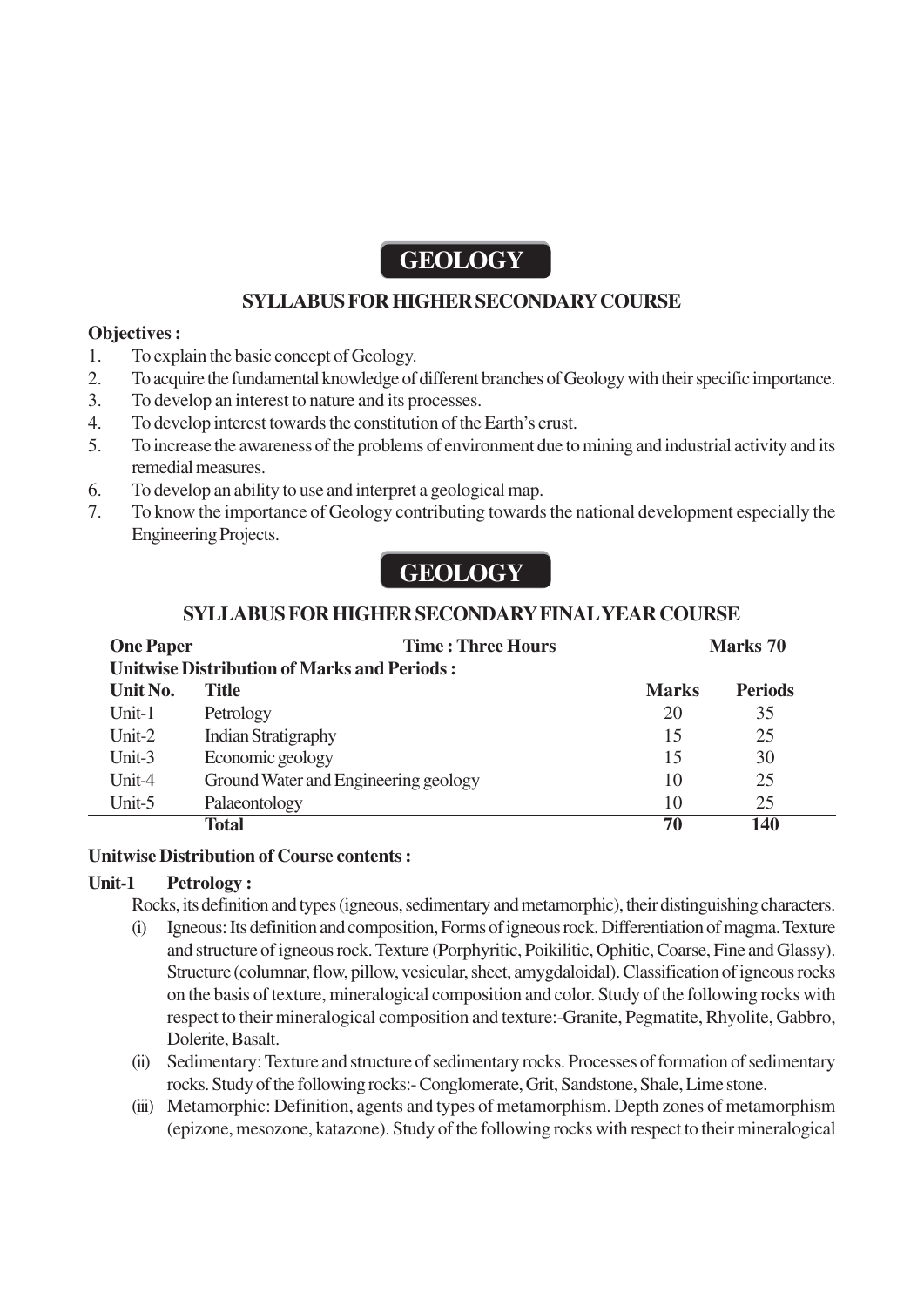# **GEOLOGY**

# **SYLLABUS FOR HIGHER SECONDARY COURSE**

# **Objectives :**

- 1. To explain the basic concept of Geology.
- 2. To acquire the fundamental knowledge of different branches of Geology with their specific importance.
- 3. To develop an interest to nature and its processes.
- 4. To develop interest towards the constitution of the Earth's crust.
- 5. To increase the awareness of the problems of environment due to mining and industrial activity and its remedial measures.
- 6. To develop an ability to use and interpret a geological map.
- 7. To know the importance of Geology contributing towards the national development especially the Engineering Projects.

# **GEOLOGY**

# **SYLLABUS FOR HIGHER SECONDARY FINAL YEAR COURSE**

| <b>One Paper</b>                                   |                                      | <b>Time: Three Hours</b> | Marks 70     |                |
|----------------------------------------------------|--------------------------------------|--------------------------|--------------|----------------|
| <b>Unitwise Distribution of Marks and Periods:</b> |                                      |                          |              |                |
| Unit No.                                           | Title                                |                          | <b>Marks</b> | <b>Periods</b> |
| $Unit-1$                                           | Petrology                            |                          | 20           | 35             |
| Unit- $2$                                          | <b>Indian Stratigraphy</b>           |                          | 15           | 25             |
| Unit- $3$                                          | Economic geology                     |                          | 15           | 30             |
| Unit-4                                             | Ground Water and Engineering geology |                          | 10           | 25             |
| Unit-5                                             | Palaeontology                        |                          | 10           | 25             |
|                                                    | <b>Total</b>                         |                          | 70           | 140            |

# **Unitwise Distribution of Course contents :**

# **Unit-1 Petrology :**

Rocks, its definition and types (igneous, sedimentary and metamorphic), their distinguishing characters.

- (i) Igneous: Its definition and composition, Forms of igneous rock. Differentiation of magma. Texture and structure of igneous rock. Texture (Porphyritic, Poikilitic, Ophitic, Coarse, Fine and Glassy). Structure (columnar, flow, pillow, vesicular, sheet, amygdaloidal). Classification of igneous rocks on the basis of texture, mineralogical composition and color. Study of the following rocks with respect to their mineralogical composition and texture:-Granite, Pegmatite, Rhyolite, Gabbro, Dolerite, Basalt.
- (ii) Sedimentary: Texture and structure of sedimentary rocks. Processes of formation of sedimentary rocks. Study of the following rocks:- Conglomerate, Grit, Sandstone, Shale, Lime stone.
- (iii) Metamorphic: Definition, agents and types of metamorphism. Depth zones of metamorphism (epizone, mesozone, katazone). Study of the following rocks with respect to their mineralogical